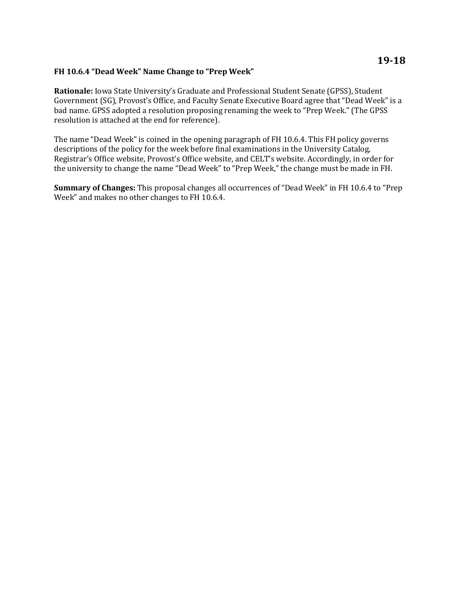#### **FH 10.6.4 "Dead Week" Name Change to "Prep Week"**

**Rationale:** Iowa State University's Graduate and Professional Student Senate (GPSS), Student Government (SG), Provost's Office, and Faculty Senate Executive Board agree that "Dead Week" is a bad name. GPSS adopted a resolution proposing renaming the week to "Prep Week." (The GPSS resolution is attached at the end for reference).

The name "Dead Week" is coined in the opening paragraph of FH 10.6.4. This FH policy governs descriptions of the policy for the week before final examinations in the University Catalog, Registrar's Office website, Provost's Office website, and CELT's website. Accordingly, in order for the university to change the name "Dead Week" to "Prep Week," the change must be made in FH.

**Summary of Changes:** This proposal changes all occurrences of "Dead Week" in FH 10.6.4 to "Prep Week" and makes no other changes to FH 10.6.4.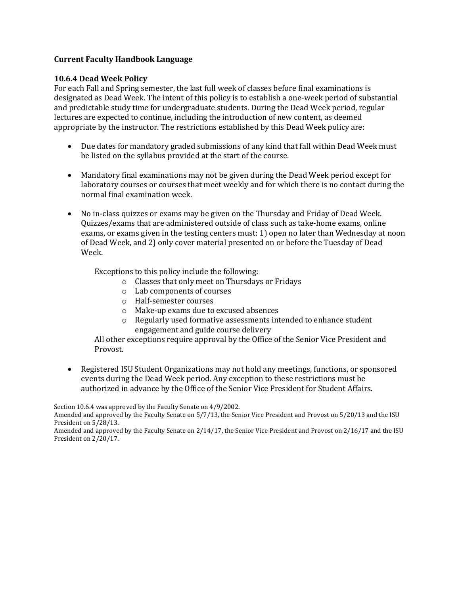#### **Current Faculty Handbook Language**

#### **10.6.4 Dead Week Policy**

For each Fall and Spring semester, the last full week of classes before final examinations is designated as Dead Week. The intent of this policy is to establish a one-week period of substantial and predictable study time for undergraduate students. During the Dead Week period, regular lectures are expected to continue, including the introduction of new content, as deemed appropriate by the instructor. The restrictions established by this Dead Week policy are:

- Due dates for mandatory graded submissions of any kind that fall within Dead Week must be listed on the syllabus provided at the start of the course.
- Mandatory final examinations may not be given during the Dead Week period except for laboratory courses or courses that meet weekly and for which there is no contact during the normal final examination week.
- No in-class quizzes or exams may be given on the Thursday and Friday of Dead Week. Quizzes/exams that are administered outside of class such as take-home exams, online exams, or exams given in the testing centers must: 1) open no later than Wednesday at noon of Dead Week, and 2) only cover material presented on or before the Tuesday of Dead Week.

Exceptions to this policy include the following:

- o Classes that only meet on Thursdays or Fridays
- o Lab components of courses
- o Half-semester courses
- o Make-up exams due to excused absences
- o Regularly used formative assessments intended to enhance student engagement and guide course delivery

All other exceptions require approval by the Office of the Senior Vice President and Provost.

• Registered ISU Student Organizations may not hold any meetings, functions, or sponsored events during the Dead Week period. Any exception to these restrictions must be authorized in advance by the Office of the Senior Vice President for Student Affairs.

Section 10.6.4 was approved by the Faculty Senate on 4/9/2002.

Amended and approved by the Faculty Senate on 5/7/13, the Senior Vice President and Provost on 5/20/13 and the ISU President on 5/28/13.

Amended and approved by the Faculty Senate on 2/14/17, the Senior Vice President and Provost on 2/16/17 and the ISU President on 2/20/17.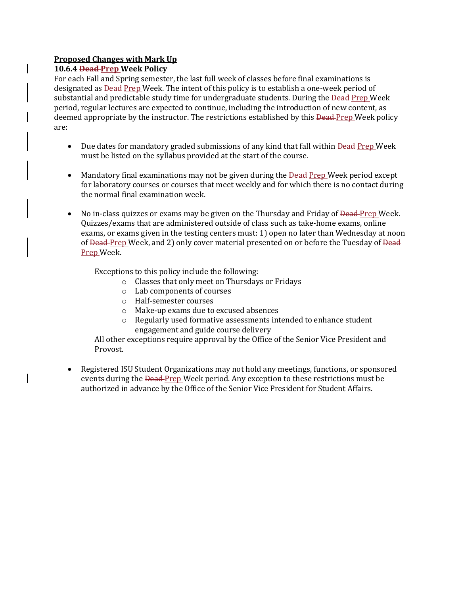#### **Proposed Changes with Mark Up**

#### **10.6.4 Dead Prep Week Policy**

For each Fall and Spring semester, the last full week of classes before final examinations is designated as <del>Dead</del>-Prep Week. The intent of this policy is to establish a one-week period of substantial and predictable study time for undergraduate students. During the Dead Prep Week period, regular lectures are expected to continue, including the introduction of new content, as deemed appropriate by the instructor. The restrictions established by this Dead-Prep Week policy are:

- Due dates for mandatory graded submissions of any kind that fall within <del>Dead P</del>rep Week must be listed on the syllabus provided at the start of the course.
- Mandatory final examinations may not be given during the Dead-Prep Week period except for laboratory courses or courses that meet weekly and for which there is no contact during the normal final examination week.
- No in-class quizzes or exams may be given on the Thursday and Friday of Dead Prep Week. Quizzes/exams that are administered outside of class such as take-home exams, online exams, or exams given in the testing centers must: 1) open no later than Wednesday at noon of Dead Prep Week, and 2) only cover material presented on or before the Tuesday of Dead Prep Week.

Exceptions to this policy include the following:

- o Classes that only meet on Thursdays or Fridays
- o Lab components of courses
- o Half-semester courses
- o Make-up exams due to excused absences
- o Regularly used formative assessments intended to enhance student engagement and guide course delivery

All other exceptions require approval by the Office of the Senior Vice President and Provost.

 Registered ISU Student Organizations may not hold any meetings, functions, or sponsored events during the Dead Prep Week period. Any exception to these restrictions must be authorized in advance by the Office of the Senior Vice President for Student Affairs.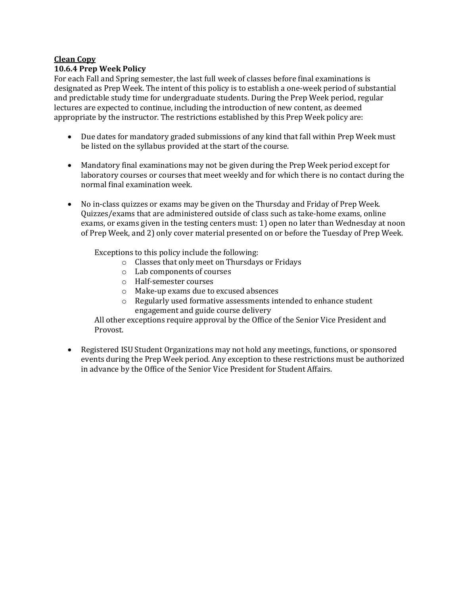#### **Clean Copy**

#### **10.6.4 Prep Week Policy**

For each Fall and Spring semester, the last full week of classes before final examinations is designated as Prep Week. The intent of this policy is to establish a one-week period of substantial and predictable study time for undergraduate students. During the Prep Week period, regular lectures are expected to continue, including the introduction of new content, as deemed appropriate by the instructor. The restrictions established by this Prep Week policy are:

- Due dates for mandatory graded submissions of any kind that fall within Prep Week must be listed on the syllabus provided at the start of the course.
- Mandatory final examinations may not be given during the Prep Week period except for laboratory courses or courses that meet weekly and for which there is no contact during the normal final examination week.
- No in-class quizzes or exams may be given on the Thursday and Friday of Prep Week. Quizzes/exams that are administered outside of class such as take-home exams, online exams, or exams given in the testing centers must: 1) open no later than Wednesday at noon of Prep Week, and 2) only cover material presented on or before the Tuesday of Prep Week.

Exceptions to this policy include the following:

- o Classes that only meet on Thursdays or Fridays
- o Lab components of courses
- o Half-semester courses
- o Make-up exams due to excused absences
- o Regularly used formative assessments intended to enhance student engagement and guide course delivery

All other exceptions require approval by the Office of the Senior Vice President and Provost.

 Registered ISU Student Organizations may not hold any meetings, functions, or sponsored events during the Prep Week period. Any exception to these restrictions must be authorized in advance by the Office of the Senior Vice President for Student Affairs.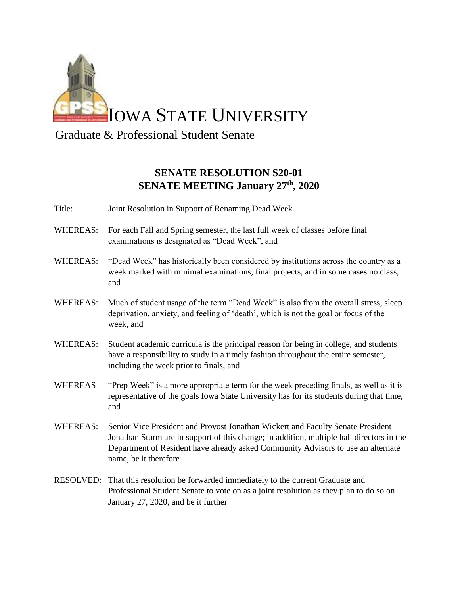

## Graduate & Professional Student Senate

### **SENATE RESOLUTION S20-01 SENATE MEETING January 27th, 2020**

- Title: Joint Resolution in Support of Renaming Dead Week
- WHEREAS: For each Fall and Spring semester, the last full week of classes before final examinations is designated as "Dead Week", and
- WHEREAS: "Dead Week" has historically been considered by institutions across the country as a week marked with minimal examinations, final projects, and in some cases no class, and
- WHEREAS: Much of student usage of the term "Dead Week" is also from the overall stress, sleep deprivation, anxiety, and feeling of 'death', which is not the goal or focus of the week, and
- WHEREAS: Student academic curricula is the principal reason for being in college, and students have a responsibility to study in a timely fashion throughout the entire semester, including the week prior to finals, and
- WHEREAS "Prep Week" is a more appropriate term for the week preceding finals, as well as it is representative of the goals Iowa State University has for its students during that time, and
- WHEREAS: Senior Vice President and Provost Jonathan Wickert and Faculty Senate President Jonathan Sturm are in support of this change; in addition, multiple hall directors in the Department of Resident have already asked Community Advisors to use an alternate name, be it therefore
- RESOLVED: That this resolution be forwarded immediately to the current Graduate and Professional Student Senate to vote on as a joint resolution as they plan to do so on January 27, 2020, and be it further